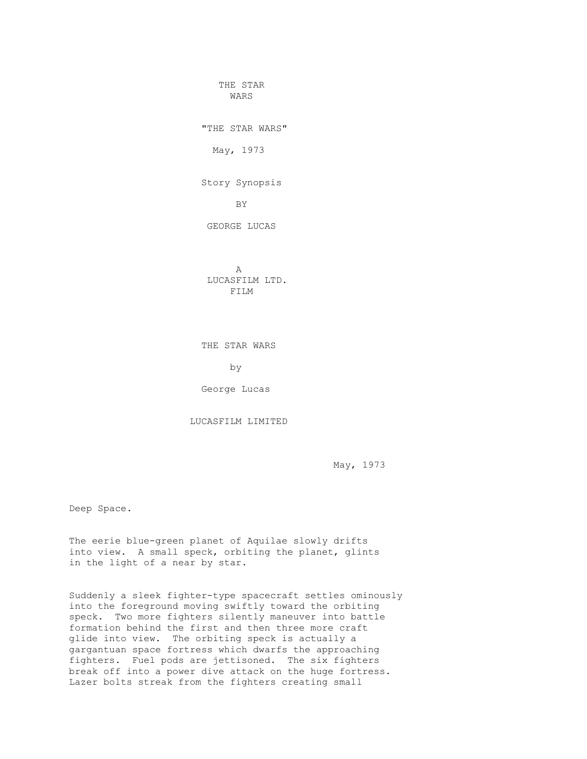THE STAR WARS "THE STAR WARS" May, 1973 Story Synopsis **BY**  GEORGE LUCAS A LUCASFILM LTD. FILM THE STAR WARS

by

George Lucas

LUCASFILM LIMITED

May, 1973

Deep Space.

The eerie blue-green planet of Aquilae slowly drifts into view. A small speck, orbiting the planet, glints in the light of a near by star.

Suddenly a sleek fighter-type spacecraft settles ominously into the foreground moving swiftly toward the orbiting speck. Two more fighters silently maneuver into battle formation behind the first and then three more craft glide into view. The orbiting speck is actually a gargantuan space fortress which dwarfs the approaching fighters. Fuel pods are jettisoned. The six fighters break off into a power dive attack on the huge fortress. Lazer bolts streak from the fighters creating small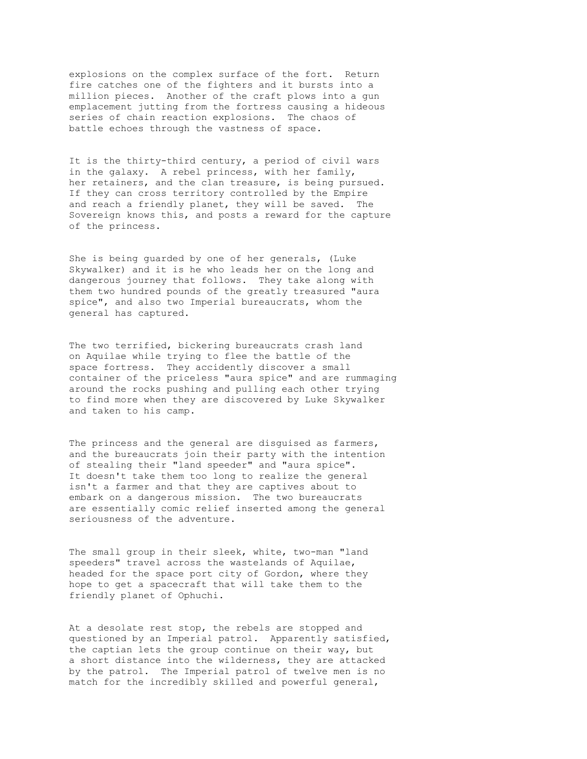explosions on the complex surface of the fort. Return fire catches one of the fighters and it bursts into a million pieces. Another of the craft plows into a gun emplacement jutting from the fortress causing a hideous series of chain reaction explosions. The chaos of battle echoes through the vastness of space.

It is the thirty-third century, a period of civil wars in the galaxy. A rebel princess, with her family, her retainers, and the clan treasure, is being pursued. If they can cross territory controlled by the Empire and reach a friendly planet, they will be saved. The Sovereign knows this, and posts a reward for the capture of the princess.

She is being guarded by one of her generals, (Luke Skywalker) and it is he who leads her on the long and dangerous journey that follows. They take along with them two hundred pounds of the greatly treasured "aura spice", and also two Imperial bureaucrats, whom the general has captured.

The two terrified, bickering bureaucrats crash land on Aquilae while trying to flee the battle of the space fortress. They accidently discover a small container of the priceless "aura spice" and are rummaging around the rocks pushing and pulling each other trying to find more when they are discovered by Luke Skywalker and taken to his camp.

The princess and the general are disguised as farmers, and the bureaucrats join their party with the intention of stealing their "land speeder" and "aura spice". It doesn't take them too long to realize the general isn't a farmer and that they are captives about to embark on a dangerous mission. The two bureaucrats are essentially comic relief inserted among the general seriousness of the adventure.

The small group in their sleek, white, two-man "land speeders" travel across the wastelands of Aquilae, headed for the space port city of Gordon, where they hope to get a spacecraft that will take them to the friendly planet of Ophuchi.

At a desolate rest stop, the rebels are stopped and questioned by an Imperial patrol. Apparently satisfied, the captian lets the group continue on their way, but a short distance into the wilderness, they are attacked by the patrol. The Imperial patrol of twelve men is no match for the incredibly skilled and powerful general,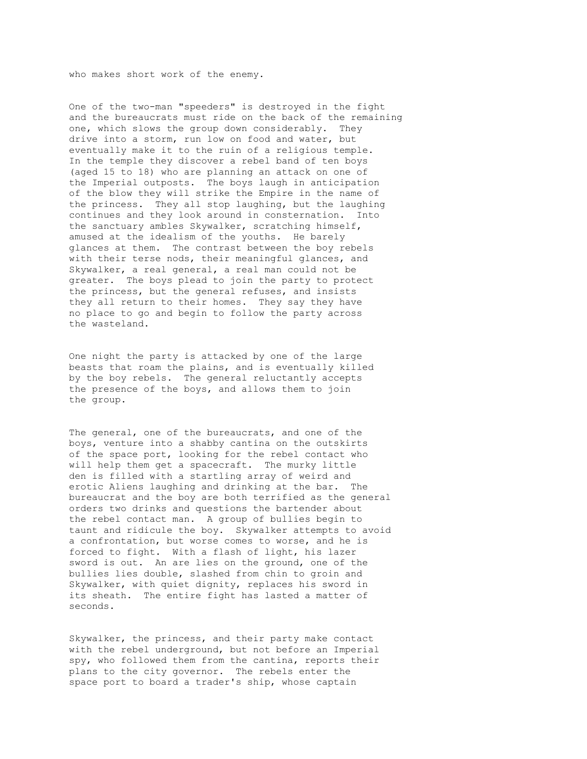who makes short work of the enemy.

One of the two-man "speeders" is destroyed in the fight and the bureaucrats must ride on the back of the remaining one, which slows the group down considerably. They drive into a storm, run low on food and water, but eventually make it to the ruin of a religious temple. In the temple they discover a rebel band of ten boys (aged 15 to 18) who are planning an attack on one of the Imperial outposts. The boys laugh in anticipation of the blow they will strike the Empire in the name of the princess. They all stop laughing, but the laughing continues and they look around in consternation. Into the sanctuary ambles Skywalker, scratching himself, amused at the idealism of the youths. He barely glances at them. The contrast between the boy rebels with their terse nods, their meaningful glances, and Skywalker, a real general, a real man could not be greater. The boys plead to join the party to protect the princess, but the general refuses, and insists they all return to their homes. They say they have no place to go and begin to follow the party across the wasteland.

One night the party is attacked by one of the large beasts that roam the plains, and is eventually killed by the boy rebels. The general reluctantly accepts the presence of the boys, and allows them to join the group.

The general, one of the bureaucrats, and one of the boys, venture into a shabby cantina on the outskirts of the space port, looking for the rebel contact who will help them get a spacecraft. The murky little den is filled with a startling array of weird and erotic Aliens laughing and drinking at the bar. The bureaucrat and the boy are both terrified as the general orders two drinks and questions the bartender about the rebel contact man. A group of bullies begin to taunt and ridicule the boy. Skywalker attempts to avoid a confrontation, but worse comes to worse, and he is forced to fight. With a flash of light, his lazer sword is out. An are lies on the ground, one of the bullies lies double, slashed from chin to groin and Skywalker, with quiet dignity, replaces his sword in its sheath. The entire fight has lasted a matter of seconds.

Skywalker, the princess, and their party make contact with the rebel underground, but not before an Imperial spy, who followed them from the cantina, reports their plans to the city governor. The rebels enter the space port to board a trader's ship, whose captain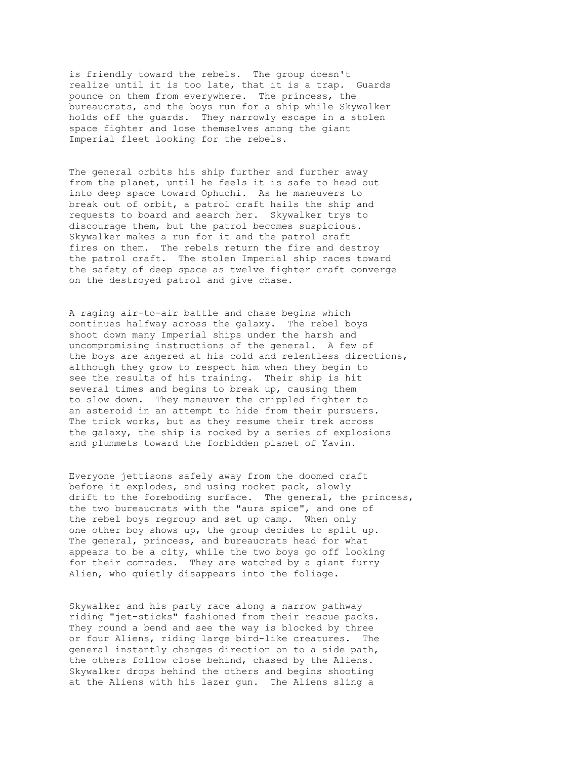is friendly toward the rebels. The group doesn't realize until it is too late, that it is a trap. Guards pounce on them from everywhere. The princess, the bureaucrats, and the boys run for a ship while Skywalker holds off the guards. They narrowly escape in a stolen space fighter and lose themselves among the giant Imperial fleet looking for the rebels.

The general orbits his ship further and further away from the planet, until he feels it is safe to head out into deep space toward Ophuchi. As he maneuvers to break out of orbit, a patrol craft hails the ship and requests to board and search her. Skywalker trys to discourage them, but the patrol becomes suspicious. Skywalker makes a run for it and the patrol craft fires on them. The rebels return the fire and destroy the patrol craft. The stolen Imperial ship races toward the safety of deep space as twelve fighter craft converge on the destroyed patrol and give chase.

A raging air-to-air battle and chase begins which continues halfway across the galaxy. The rebel boys shoot down many Imperial ships under the harsh and uncompromising instructions of the general. A few of the boys are angered at his cold and relentless directions, although they grow to respect him when they begin to see the results of his training. Their ship is hit several times and begins to break up, causing them to slow down. They maneuver the crippled fighter to an asteroid in an attempt to hide from their pursuers. The trick works, but as they resume their trek across the galaxy, the ship is rocked by a series of explosions and plummets toward the forbidden planet of Yavin.

Everyone jettisons safely away from the doomed craft before it explodes, and using rocket pack, slowly drift to the foreboding surface. The general, the princess, the two bureaucrats with the "aura spice", and one of the rebel boys regroup and set up camp. When only one other boy shows up, the group decides to split up. The general, princess, and bureaucrats head for what appears to be a city, while the two boys go off looking for their comrades. They are watched by a giant furry Alien, who quietly disappears into the foliage.

Skywalker and his party race along a narrow pathway riding "jet-sticks" fashioned from their rescue packs. They round a bend and see the way is blocked by three or four Aliens, riding large bird-like creatures. The general instantly changes direction on to a side path, the others follow close behind, chased by the Aliens. Skywalker drops behind the others and begins shooting at the Aliens with his lazer gun. The Aliens sling a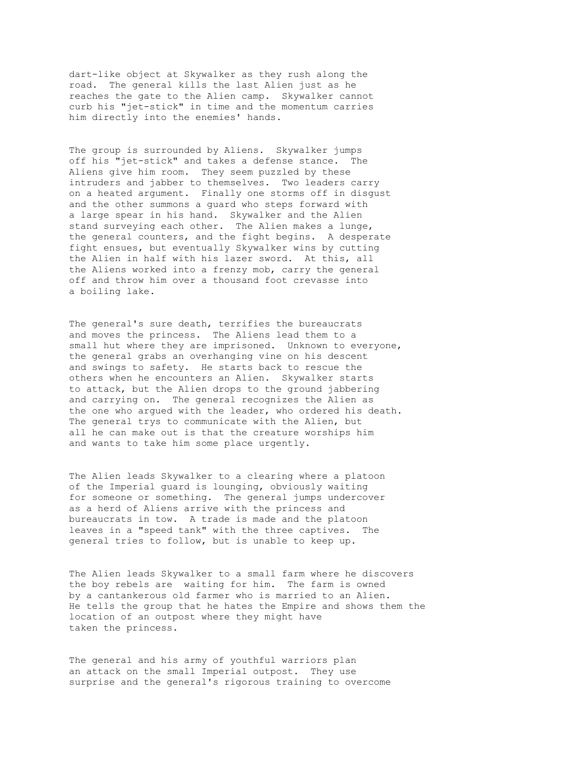dart-like object at Skywalker as they rush along the road. The general kills the last Alien just as he reaches the gate to the Alien camp. Skywalker cannot curb his "jet-stick" in time and the momentum carries him directly into the enemies' hands.

The group is surrounded by Aliens. Skywalker jumps off his "jet-stick" and takes a defense stance. The Aliens give him room. They seem puzzled by these intruders and jabber to themselves. Two leaders carry on a heated argument. Finally one storms off in disgust and the other summons a guard who steps forward with a large spear in his hand. Skywalker and the Alien stand surveying each other. The Alien makes a lunge, the general counters, and the fight begins. A desperate fight ensues, but eventually Skywalker wins by cutting the Alien in half with his lazer sword. At this, all the Aliens worked into a frenzy mob, carry the general off and throw him over a thousand foot crevasse into a boiling lake.

The general's sure death, terrifies the bureaucrats and moves the princess. The Aliens lead them to a small hut where they are imprisoned. Unknown to everyone, the general grabs an overhanging vine on his descent and swings to safety. He starts back to rescue the others when he encounters an Alien. Skywalker starts to attack, but the Alien drops to the ground jabbering and carrying on. The general recognizes the Alien as the one who argued with the leader, who ordered his death. The general trys to communicate with the Alien, but all he can make out is that the creature worships him and wants to take him some place urgently.

The Alien leads Skywalker to a clearing where a platoon of the Imperial guard is lounging, obviously waiting for someone or something. The general jumps undercover as a herd of Aliens arrive with the princess and bureaucrats in tow. A trade is made and the platoon leaves in a "speed tank" with the three captives. The general tries to follow, but is unable to keep up.

The Alien leads Skywalker to a small farm where he discovers the boy rebels are waiting for him. The farm is owned by a cantankerous old farmer who is married to an Alien. He tells the group that he hates the Empire and shows them the location of an outpost where they might have taken the princess.

The general and his army of youthful warriors plan an attack on the small Imperial outpost. They use surprise and the general's rigorous training to overcome